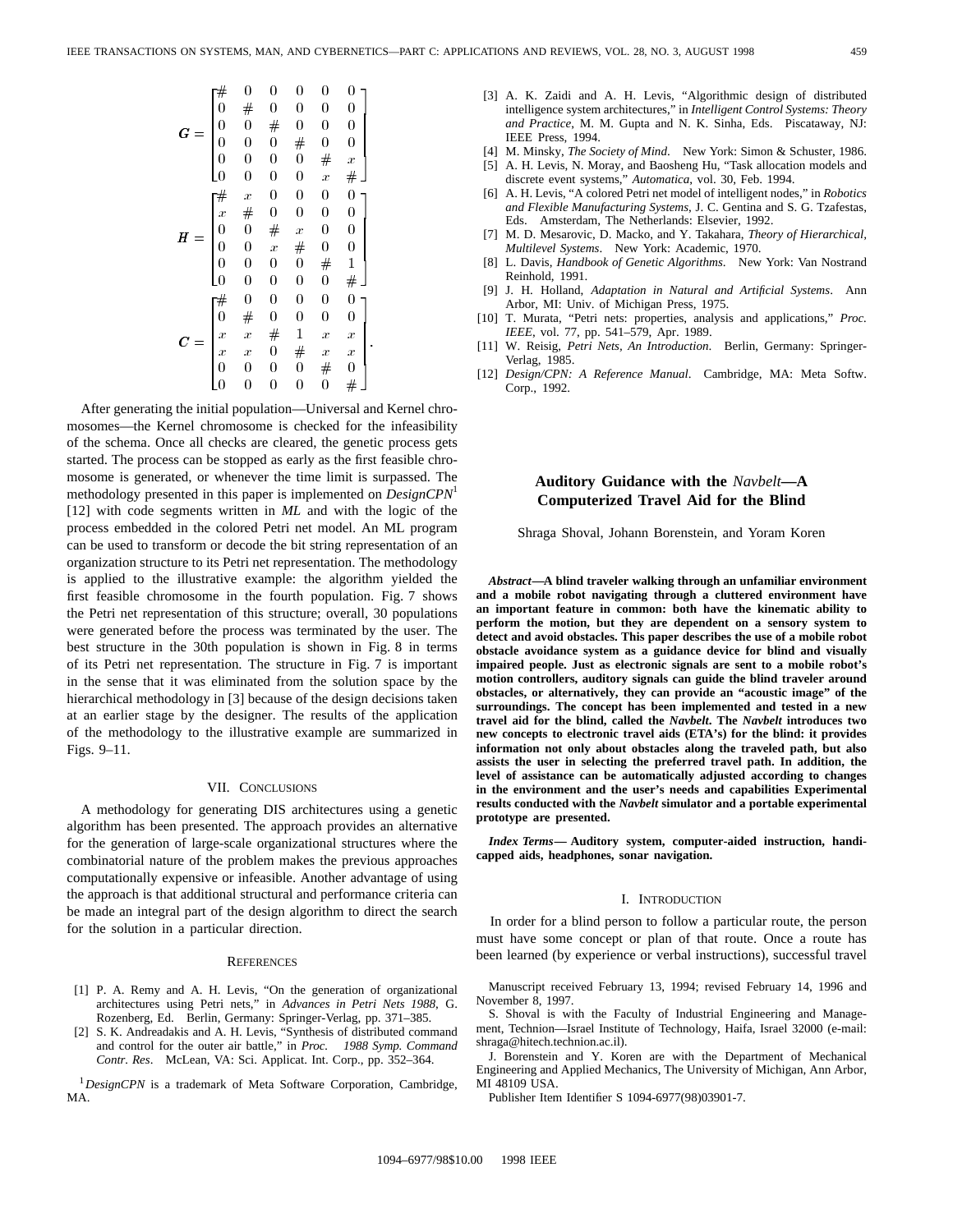|         | #                | $\bf{0}$         | $\overline{0}$   | $\overline{0}$   | $\bf{0}$         | $\bf{0}$         |
|---------|------------------|------------------|------------------|------------------|------------------|------------------|
| $G =$   | $\bf{0}$         | #                | $\overline{0}$   | 0                | $\overline{0}$   | $\boldsymbol{0}$ |
|         | $\overline{0}$   | $\bf{0}$         | #                | $\boldsymbol{0}$ | $\overline{0}$   | $\overline{0}$   |
|         | $\overline{0}$   | $\overline{0}$   | $\bf{0}$         | #                | $\boldsymbol{0}$ | $\boldsymbol{0}$ |
|         | $\overline{0}$   | $\overline{0}$   | $\overline{0}$   | $\overline{0}$   | #                | $\boldsymbol{x}$ |
|         | $\overline{0}$   | $\overline{0}$   | $\boldsymbol{0}$ | $\boldsymbol{0}$ | $\boldsymbol{x}$ | #                |
| H       | #                | $\boldsymbol{x}$ | $\overline{0}$   | $\overline{0}$   | $\overline{0}$   | $\overline{0}$   |
|         | $\boldsymbol{x}$ | #                | $\bf{0}$         | $\bf{0}$         | $\bf{0}$         | $\overline{0}$   |
|         | $\overline{0}$   | $\boldsymbol{0}$ | #                | $\boldsymbol{x}$ | $\boldsymbol{0}$ | $\overline{0}$   |
|         | $\overline{0}$   | $\overline{0}$   | $\boldsymbol{x}$ | $^{\#}$          | $\bf{0}$         | $\overline{0}$   |
|         | $\overline{0}$   | $\overline{0}$   | $\boldsymbol{0}$ | $\overline{0}$   | #                | $\mathbf{1}$     |
|         | $\overline{0}$   | $\overline{0}$   | $\overline{0}$   | $\boldsymbol{0}$ | $\boldsymbol{0}$ | #                |
| $\,c\,$ | #                | $\bf{0}$         | $\bf{0}$         | $\bf{0}$         | $\bf{0}$         | $\boldsymbol{0}$ |
|         | $\overline{0}$   | #                | $\overline{0}$   | $\overline{0}$   | $\overline{0}$   | $\overline{0}$   |
|         | $\overline{x}$   | $\boldsymbol{x}$ | $^{\#}$          | $\mathbf 1$      | $\boldsymbol{x}$ | $\boldsymbol{x}$ |
|         | $\dot{x}$        | $\boldsymbol{x}$ | $\bf{0}$         | #                | $\boldsymbol{x}$ | $\boldsymbol{x}$ |
|         | $\overline{0}$   | $\overline{0}$   | $\overline{0}$   | $\bf{0}$         | #                | $\boldsymbol{0}$ |
|         | $\overline{0}$   | $\overline{0}$   | $\overline{0}$   | $\boldsymbol{0}$ | $\overline{0}$   | #                |

After generating the initial population—Universal and Kernel chromosomes—the Kernel chromosome is checked for the infeasibility of the schema. Once all checks are cleared, the genetic process gets started. The process can be stopped as early as the first feasible chromosome is generated, or whenever the time limit is surpassed. The methodology presented in this paper is implemented on *DesignCPN*<sup>1</sup> [12] with code segments written in *ML* and with the logic of the process embedded in the colored Petri net model. An ML program can be used to transform or decode the bit string representation of an organization structure to its Petri net representation. The methodology is applied to the illustrative example: the algorithm yielded the first feasible chromosome in the fourth population. Fig. 7 shows the Petri net representation of this structure; overall, 30 populations were generated before the process was terminated by the user. The best structure in the 30th population is shown in Fig. 8 in terms of its Petri net representation. The structure in Fig. 7 is important in the sense that it was eliminated from the solution space by the hierarchical methodology in [3] because of the design decisions taken at an earlier stage by the designer. The results of the application of the methodology to the illustrative example are summarized in Figs. 9–11.

## VII. CONCLUSIONS

A methodology for generating DIS architectures using a genetic algorithm has been presented. The approach provides an alternative for the generation of large-scale organizational structures where the combinatorial nature of the problem makes the previous approaches computationally expensive or infeasible. Another advantage of using the approach is that additional structural and performance criteria can be made an integral part of the design algorithm to direct the search for the solution in a particular direction.

#### **REFERENCES**

- [1] P. A. Remy and A. H. Levis, "On the generation of organizational architectures using Petri nets," in *Advances in Petri Nets 1988*, G. Rozenberg, Ed. Berlin, Germany: Springer-Verlag, pp. 371–385.
- [2] S. K. Andreadakis and A. H. Levis, "Synthesis of distributed command and control for the outer air battle," in *Proc. 1988 Symp. Command Contr. Res*. McLean, VA: Sci. Applicat. Int. Corp., pp. 352–364.

<sup>1</sup> DesignCPN is a trademark of Meta Software Corporation, Cambridge, MA.

- [3] A. K. Zaidi and A. H. Levis, "Algorithmic design of distributed intelligence system architectures," in *Intelligent Control Systems: Theory and Practice*, M. M. Gupta and N. K. Sinha, Eds. Piscataway, NJ: IEEE Press, 1994.
- [4] M. Minsky, *The Society of Mind*. New York: Simon & Schuster, 1986.
- [5] A. H. Levis, N. Moray, and Baosheng Hu, "Task allocation models and discrete event systems," *Automatica*, vol. 30, Feb. 1994.
- [6] A. H. Levis, "A colored Petri net model of intelligent nodes," in *Robotics and Flexible Manufacturing Systems*, J. C. Gentina and S. G. Tzafestas, Eds. Amsterdam, The Netherlands: Elsevier, 1992.
- [7] M. D. Mesarovic, D. Macko, and Y. Takahara, *Theory of Hierarchical, Multilevel Systems*. New York: Academic, 1970.
- [8] L. Davis, *Handbook of Genetic Algorithms*. New York: Van Nostrand Reinhold, 1991.
- [9] J. H. Holland, *Adaptation in Natural and Artificial Systems*. Ann Arbor, MI: Univ. of Michigan Press, 1975.
- [10] T. Murata, "Petri nets: properties, analysis and applications," *Proc. IEEE*, vol. 77, pp. 541–579, Apr. 1989.
- [11] W. Reisig, *Petri Nets, An Introduction*. Berlin, Germany: Springer-Verlag, 1985.
- [12] *Design/CPN: A Reference Manual*. Cambridge, MA: Meta Softw. Corp., 1992.

# **Auditory Guidance with the** *Navbelt***—A Computerized Travel Aid for the Blind**

Shraga Shoval, Johann Borenstein, and Yoram Koren

*Abstract—***A blind traveler walking through an unfamiliar environment and a mobile robot navigating through a cluttered environment have an important feature in common: both have the kinematic ability to perform the motion, but they are dependent on a sensory system to detect and avoid obstacles. This paper describes the use of a mobile robot obstacle avoidance system as a guidance device for blind and visually impaired people. Just as electronic signals are sent to a mobile robot's motion controllers, auditory signals can guide the blind traveler around obstacles, or alternatively, they can provide an "acoustic image" of the surroundings. The concept has been implemented and tested in a new travel aid for the blind, called the** *Navbelt***. The** *Navbelt* **introduces two new concepts to electronic travel aids (ETA's) for the blind: it provides information not only about obstacles along the traveled path, but also assists the user in selecting the preferred travel path. In addition, the level of assistance can be automatically adjusted according to changes in the environment and the user's needs and capabilities Experimental results conducted with the** *Navbelt* **simulator and a portable experimental prototype are presented.**

*Index Terms—* **Auditory system, computer-aided instruction, handicapped aids, headphones, sonar navigation.**

## I. INTRODUCTION

In order for a blind person to follow a particular route, the person must have some concept or plan of that route. Once a route has been learned (by experience or verbal instructions), successful travel

Manuscript received February 13, 1994; revised February 14, 1996 and November 8, 1997.

S. Shoval is with the Faculty of Industrial Engineering and Management, Technion—Israel Institute of Technology, Haifa, Israel 32000 (e-mail: shraga@hitech.technion.ac.il).

J. Borenstein and Y. Koren are with the Department of Mechanical Engineering and Applied Mechanics, The University of Michigan, Ann Arbor, MI 48109 USA.

Publisher Item Identifier S 1094-6977(98)03901-7.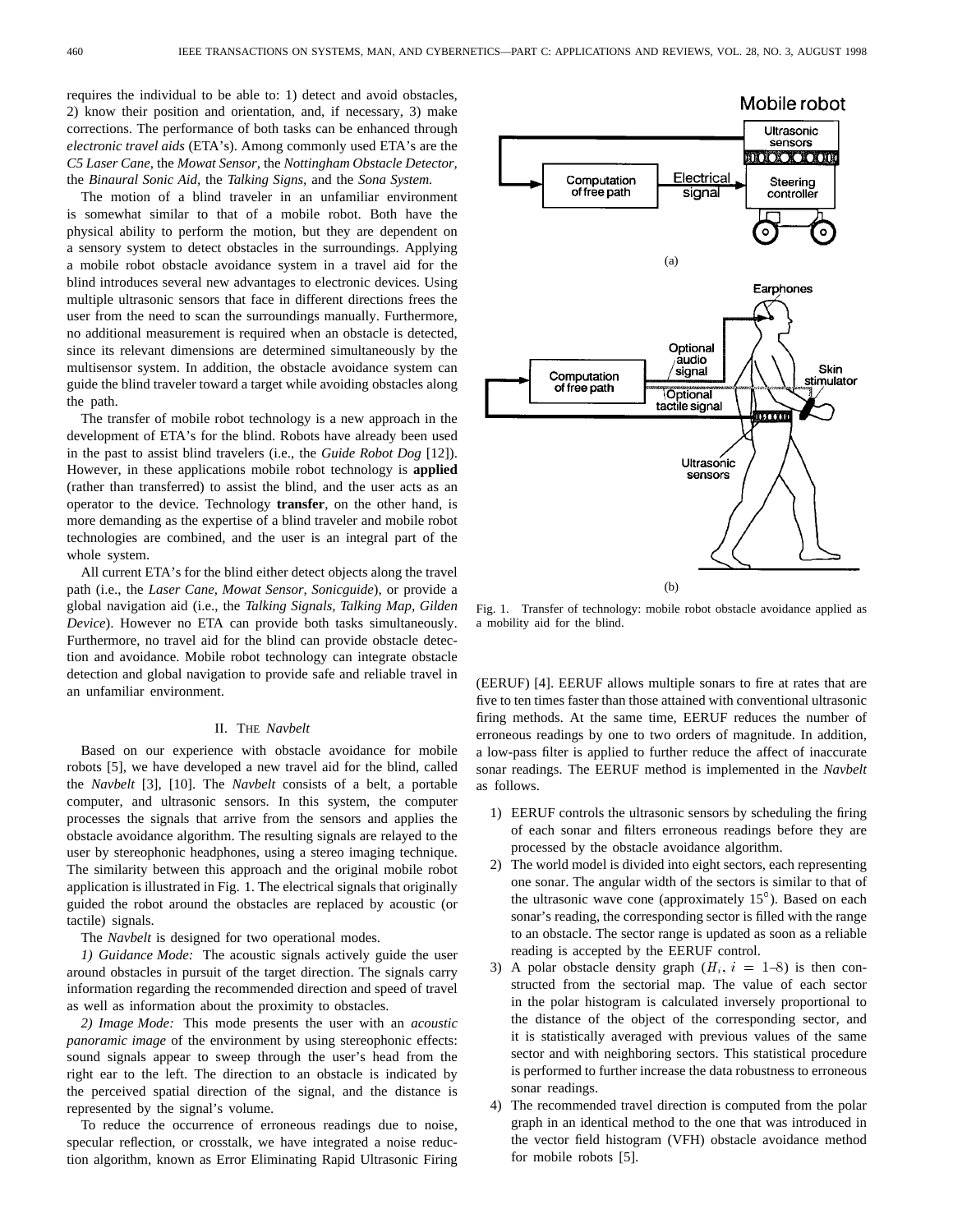requires the individual to be able to: 1) detect and avoid obstacles, 2) know their position and orientation, and, if necessary, 3) make corrections. The performance of both tasks can be enhanced through *electronic travel aids* (ETA's). Among commonly used ETA's are the *C5 Laser Cane,* the *Mowat Sensor,* the *Nottingham Obstacle Detector,* the *Binaural Sonic Aid,* the *Talking Signs,* and the *Sona System.*

The motion of a blind traveler in an unfamiliar environment is somewhat similar to that of a mobile robot. Both have the physical ability to perform the motion, but they are dependent on a sensory system to detect obstacles in the surroundings. Applying a mobile robot obstacle avoidance system in a travel aid for the blind introduces several new advantages to electronic devices. Using multiple ultrasonic sensors that face in different directions frees the user from the need to scan the surroundings manually. Furthermore, no additional measurement is required when an obstacle is detected, since its relevant dimensions are determined simultaneously by the multisensor system. In addition, the obstacle avoidance system can guide the blind traveler toward a target while avoiding obstacles along the path.

The transfer of mobile robot technology is a new approach in the development of ETA's for the blind. Robots have already been used in the past to assist blind travelers (i.e., the *Guide Robot Dog* [12]). However, in these applications mobile robot technology is **applied** (rather than transferred) to assist the blind, and the user acts as an operator to the device. Technology **transfer**, on the other hand, is more demanding as the expertise of a blind traveler and mobile robot technologies are combined, and the user is an integral part of the whole system.

All current ETA's for the blind either detect objects along the travel path (i.e., the *Laser Cane, Mowat Sensor, Sonicguide*), or provide a global navigation aid (i.e., the *Talking Signals, Talking Map, Gilden Device*). However no ETA can provide both tasks simultaneously. Furthermore, no travel aid for the blind can provide obstacle detection and avoidance. Mobile robot technology can integrate obstacle detection and global navigation to provide safe and reliable travel in an unfamiliar environment.

#### II. THE *Navbelt*

Based on our experience with obstacle avoidance for mobile robots [5], we have developed a new travel aid for the blind, called the *Navbelt* [3], [10]. The *Navbelt* consists of a belt, a portable computer, and ultrasonic sensors. In this system, the computer processes the signals that arrive from the sensors and applies the obstacle avoidance algorithm. The resulting signals are relayed to the user by stereophonic headphones, using a stereo imaging technique. The similarity between this approach and the original mobile robot application is illustrated in Fig. 1. The electrical signals that originally guided the robot around the obstacles are replaced by acoustic (or tactile) signals.

The *Navbelt* is designed for two operational modes.

*1) Guidance Mode:* The acoustic signals actively guide the user around obstacles in pursuit of the target direction. The signals carry information regarding the recommended direction and speed of travel as well as information about the proximity to obstacles.

*2) Image Mode:* This mode presents the user with an *acoustic panoramic image* of the environment by using stereophonic effects: sound signals appear to sweep through the user's head from the right ear to the left. The direction to an obstacle is indicated by the perceived spatial direction of the signal, and the distance is represented by the signal's volume.

To reduce the occurrence of erroneous readings due to noise, specular reflection, or crosstalk, we have integrated a noise reduction algorithm, known as Error Eliminating Rapid Ultrasonic Firing



Fig. 1. Transfer of technology: mobile robot obstacle avoidance applied as a mobility aid for the blind.

(EERUF) [4]. EERUF allows multiple sonars to fire at rates that are five to ten times faster than those attained with conventional ultrasonic firing methods. At the same time, EERUF reduces the number of erroneous readings by one to two orders of magnitude. In addition, a low-pass filter is applied to further reduce the affect of inaccurate sonar readings. The EERUF method is implemented in the *Navbelt* as follows.

- 1) EERUF controls the ultrasonic sensors by scheduling the firing of each sonar and filters erroneous readings before they are processed by the obstacle avoidance algorithm.
- 2) The world model is divided into eight sectors, each representing one sonar. The angular width of the sectors is similar to that of the ultrasonic wave cone (approximately  $15^{\circ}$ ). Based on each sonar's reading, the corresponding sector is filled with the range to an obstacle. The sector range is updated as soon as a reliable reading is accepted by the EERUF control.
- 3) A polar obstacle density graph  $(H_i, i = 1-8)$  is then constructed from the sectorial map. The value of each sector in the polar histogram is calculated inversely proportional to the distance of the object of the corresponding sector, and it is statistically averaged with previous values of the same sector and with neighboring sectors. This statistical procedure is performed to further increase the data robustness to erroneous sonar readings.
- 4) The recommended travel direction is computed from the polar graph in an identical method to the one that was introduced in the vector field histogram (VFH) obstacle avoidance method for mobile robots [5].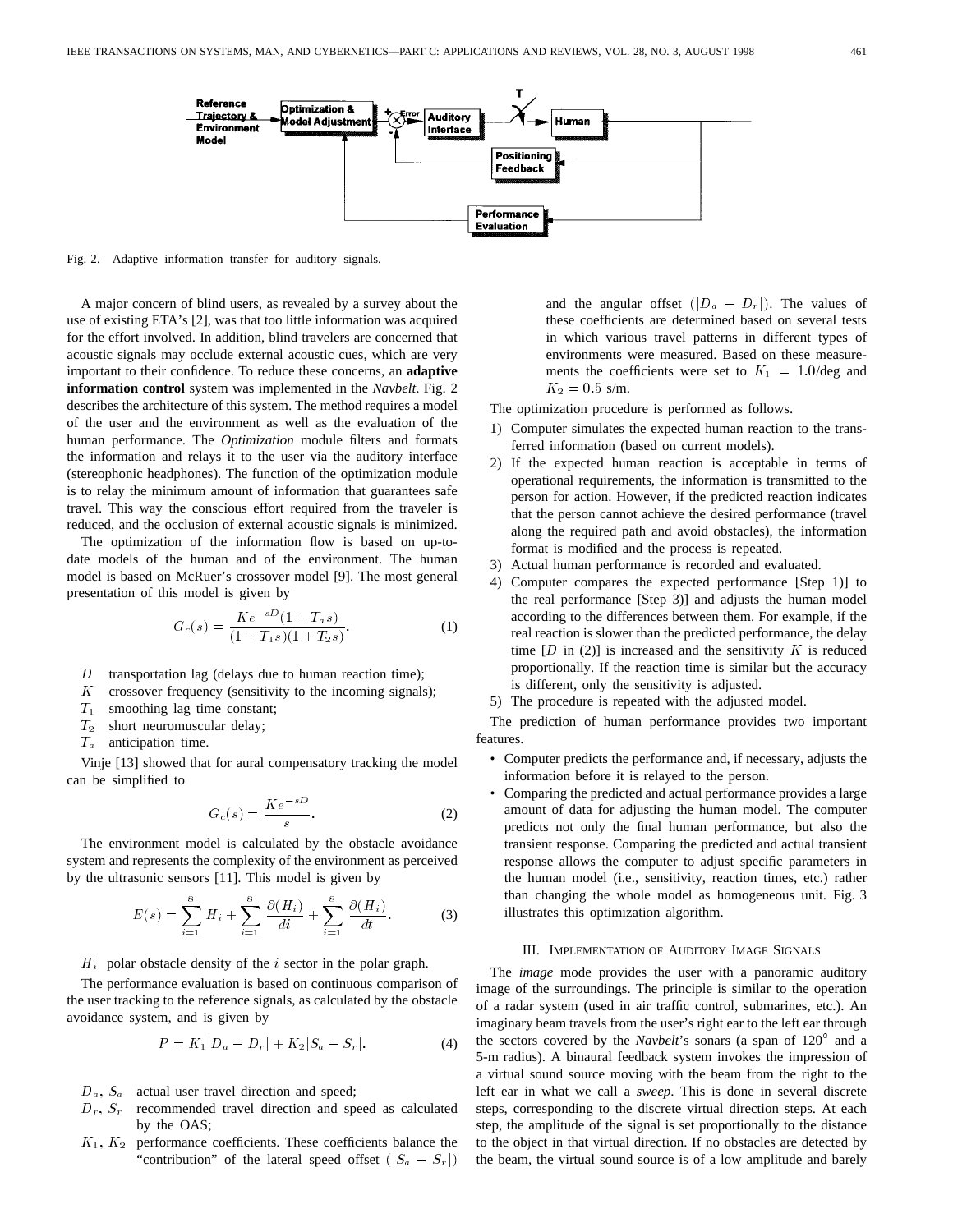

Fig. 2. Adaptive information transfer for auditory signals.

A major concern of blind users, as revealed by a survey about the use of existing ETA's [2], was that too little information was acquired for the effort involved. In addition, blind travelers are concerned that acoustic signals may occlude external acoustic cues, which are very important to their confidence. To reduce these concerns, an **adaptive information control** system was implemented in the *Navbelt*. Fig. 2 describes the architecture of this system. The method requires a model of the user and the environment as well as the evaluation of the human performance. The *Optimization* module filters and formats the information and relays it to the user via the auditory interface (stereophonic headphones). The function of the optimization module is to relay the minimum amount of information that guarantees safe travel. This way the conscious effort required from the traveler is reduced, and the occlusion of external acoustic signals is minimized.

The optimization of the information flow is based on up-todate models of the human and of the environment. The human model is based on McRuer's crossover model [9]. The most general<br>presentation of this model is given by<br> $G_c(s) = \frac{Ke^{-sD}(1+T_a s)}{(1+T_a)(1+T_a s)}$ . (1) presentation of this model is given by

$$
G_c(s) = \frac{Ke^{-sD}(1+T_a s)}{(1+T_1 s)(1+T_2 s)}.
$$
\n(1)

- $D$  transportation lag (delays due to human reaction time);
- $K$  crossover frequency (sensitivity to the incoming signals);
- $T_1$  smoothing lag time constant;
- $T_2$  short neuromuscular delay;
- $T_a$  anticipation time.

Vinje [13] showed that for aural compensatory tracking the model<br>
n be simplified to<br>  $G_c(s) = \frac{Ke^{-sD}}{s}$  (2) can be simplified to

$$
G_c(s) = \frac{Ke^{-sD}}{s}.
$$
 (2)

The environment model is calculated by the obstacle avoidance system and represents the complexity of the environment as perceived by the ultrasonic sensors [11]. This model is given by

$$
E(s) = \sum_{i=1}^{8} H_i + \sum_{i=1}^{8} \frac{\partial(H_i)}{di} + \sum_{i=1}^{8} \frac{\partial(H_i)}{dt}.
$$
 (3)

## $H_i$  polar obstacle density of the *i* sector in the polar graph.

The performance evaluation is based on continuous comparison of the user tracking to the reference signals, as calculated by the obstacle avoidance system, and is given by

$$
P = K_1 |D_a - D_r| + K_2 |S_a - S_r|.
$$
 (4)

- $D_a$ ,  $S_a$  actual user travel direction and speed;
- $D_r$ ,  $S_r$  recommended travel direction and speed as calculated by the OAS;
- $K_1, K_2$  performance coefficients. These coefficients balance the "contribution" of the lateral speed offset  $(|S_a - S_r|)$ "

and the angular offset  $(|D_a - D_r|)$ . The values of these coefficients are determined based on several tests in which various travel patterns in different types of environments were measured. Based on these measurements the coefficients were set to  $K_1 = 1.0/\text{deg}$  and  $K_2 = 0.5$  s/m.

The optimization procedure is performed as follows.

- 1) Computer simulates the expected human reaction to the transferred information (based on current models).
- 2) If the expected human reaction is acceptable in terms of operational requirements, the information is transmitted to the person for action. However, if the predicted reaction indicates that the person cannot achieve the desired performance (travel along the required path and avoid obstacles), the information format is modified and the process is repeated.
- 3) Actual human performance is recorded and evaluated.
- 4) Computer compares the expected performance [Step 1)] to the real performance [Step 3)] and adjusts the human model according to the differences between them. For example, if the real reaction is slower than the predicted performance, the delay time  $[D \text{ in } (2)]$  is increased and the sensitivity K is reduced proportionally. If the reaction time is similar but the accuracy is different, only the sensitivity is adjusted.
- 5) The procedure is repeated with the adjusted model.

The prediction of human performance provides two important features.

- Computer predicts the performance and, if necessary, adjusts the information before it is relayed to the person.
- Comparing the predicted and actual performance provides a large amount of data for adjusting the human model. The computer predicts not only the final human performance, but also the transient response. Comparing the predicted and actual transient response allows the computer to adjust specific parameters in the human model (i.e., sensitivity, reaction times, etc.) rather than changing the whole model as homogeneous unit. Fig. 3 illustrates this optimization algorithm.

#### III. IMPLEMENTATION OF AUDITORY IMAGE SIGNALS

The *image* mode provides the user with a panoramic auditory image of the surroundings. The principle is similar to the operation of a radar system (used in air traffic control, submarines, etc.). An imaginary beam travels from the user's right ear to the left ear through the sectors covered by the *Navbelt's* sonars (a span of 120° and a 5-m radius). A binaural feedback system invokes the impression of a virtual sound source moving with the beam from the right to the left ear in what we call a *sweep*. This is done in several discrete steps, corresponding to the discrete virtual direction steps. At each step, the amplitude of the signal is set proportionally to the distance to the object in that virtual direction. If no obstacles are detected by the beam, the virtual sound source is of a low amplitude and barely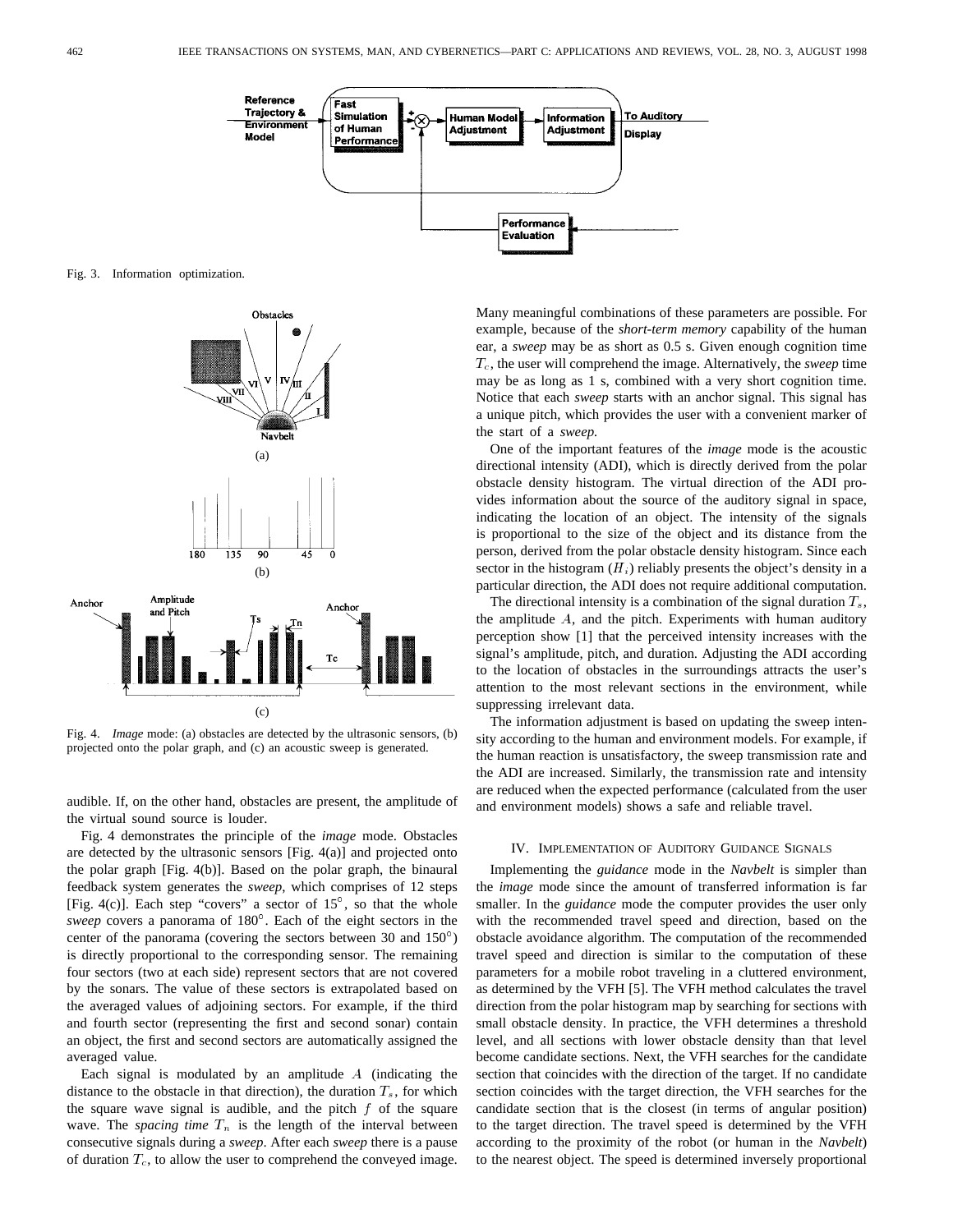

Fig. 3. Information optimization.



Fig. 4. *Image* mode: (a) obstacles are detected by the ultrasonic sensors, (b) projected onto the polar graph, and (c) an acoustic sweep is generated.

audible. If, on the other hand, obstacles are present, the amplitude of the virtual sound source is louder.

Fig. 4 demonstrates the principle of the *image* mode. Obstacles are detected by the ultrasonic sensors [Fig. 4(a)] and projected onto the polar graph [Fig. 4(b)]. Based on the polar graph, the binaural feedback system generates the *sweep*, which comprises of 12 steps [Fig. 4(c)]. Each step "covers" a sector of  $15^\circ$ , so that the whole *sweep* covers a panorama of 180°. Each of the eight sectors in the center of the panorama (covering the sectors between 30 and 150°) is directly proportional to the corresponding sensor. The remaining four sectors (two at each side) represent sectors that are not covered by the sonars. The value of these sectors is extrapolated based on the averaged values of adjoining sectors. For example, if the third and fourth sector (representing the first and second sonar) contain an object, the first and second sectors are automatically assigned the averaged value.

Each signal is modulated by an amplitude A (indicating the distance to the obstacle in that direction), the duration  $T_s$ , for which the square wave signal is audible, and the pitch  $f$  of the square wave. The *spacing time*  $T_n$  is the length of the interval between consecutive signals during a *sweep*. After each *sweep* there is a pause of duration  $T_c$ , to allow the user to comprehend the conveyed image. Many meaningful combinations of these parameters are possible. For example, because of the *short-term memory* capability of the human ear, a *sweep* may be as short as 0.5 s. Given enough cognition time  $T_c$ , the user will comprehend the image. Alternatively, the *sweep* time may be as long as 1 s, combined with a very short cognition time. Notice that each *sweep* starts with an anchor signal. This signal has a unique pitch, which provides the user with a convenient marker of the start of a *sweep.*

One of the important features of the *image* mode is the acoustic directional intensity (ADI), which is directly derived from the polar obstacle density histogram. The virtual direction of the ADI provides information about the source of the auditory signal in space, indicating the location of an object. The intensity of the signals is proportional to the size of the object and its distance from the person, derived from the polar obstacle density histogram. Since each sector in the histogram  $(H_i)$  reliably presents the object's density in a particular direction, the ADI does not require additional computation.

The directional intensity is a combination of the signal duration  $T_s$ , the amplitude A, and the pitch. Experiments with human auditory perception show [1] that the perceived intensity increases with the signal's amplitude, pitch, and duration. Adjusting the ADI according to the location of obstacles in the surroundings attracts the user's attention to the most relevant sections in the environment, while suppressing irrelevant data.

The information adjustment is based on updating the sweep intensity according to the human and environment models. For example, if the human reaction is unsatisfactory, the sweep transmission rate and the ADI are increased. Similarly, the transmission rate and intensity are reduced when the expected performance (calculated from the user and environment models) shows a safe and reliable travel.

## IV. IMPLEMENTATION OF AUDITORY GUIDANCE SIGNALS

Implementing the *guidance* mode in the *Navbelt* is simpler than the *image* mode since the amount of transferred information is far smaller. In the *guidance* mode the computer provides the user only with the recommended travel speed and direction, based on the obstacle avoidance algorithm. The computation of the recommended travel speed and direction is similar to the computation of these parameters for a mobile robot traveling in a cluttered environment, as determined by the VFH [5]. The VFH method calculates the travel direction from the polar histogram map by searching for sections with small obstacle density. In practice, the VFH determines a threshold level, and all sections with lower obstacle density than that level become candidate sections. Next, the VFH searches for the candidate section that coincides with the direction of the target. If no candidate section coincides with the target direction, the VFH searches for the candidate section that is the closest (in terms of angular position) to the target direction. The travel speed is determined by the VFH according to the proximity of the robot (or human in the *Navbelt*) to the nearest object. The speed is determined inversely proportional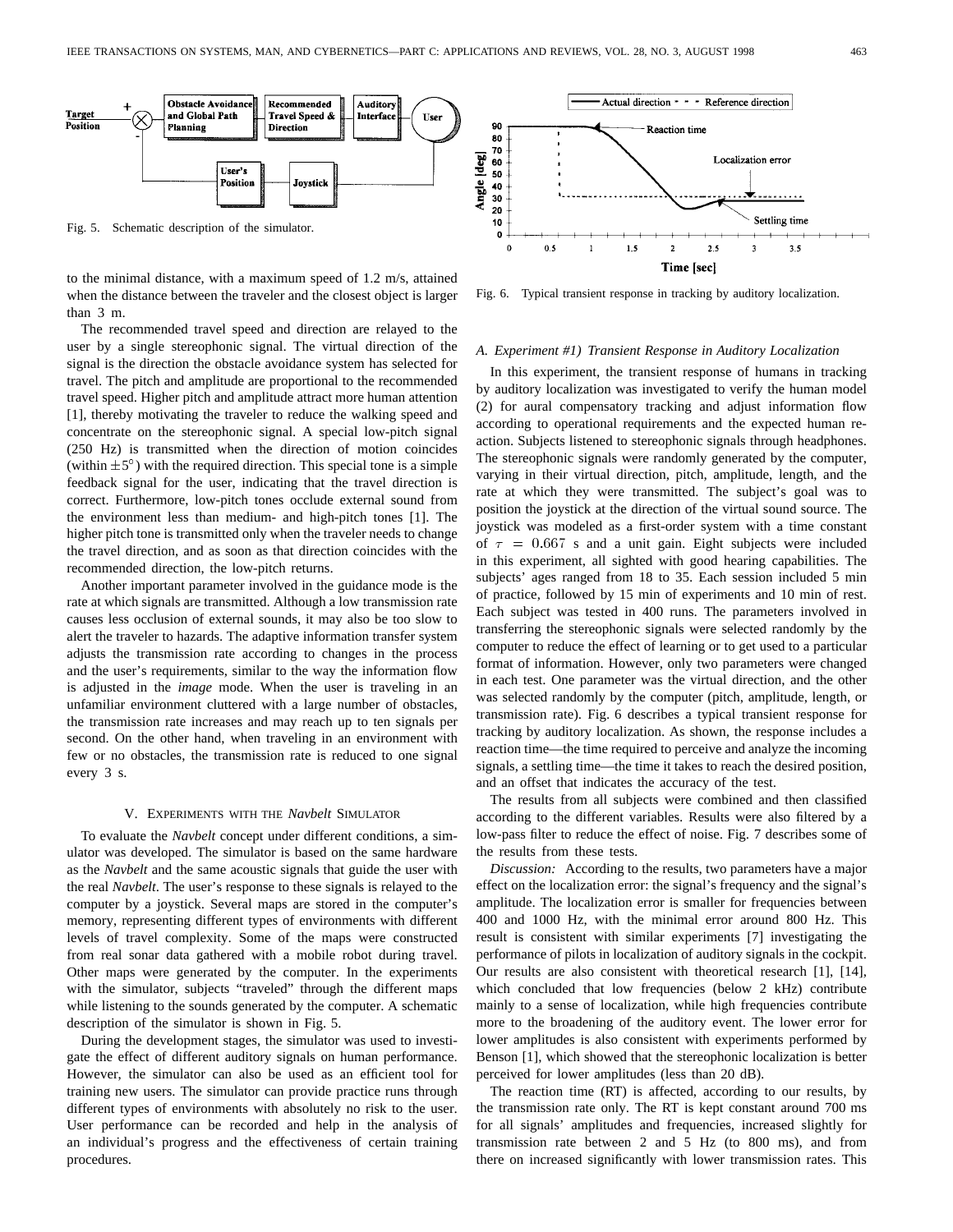

Fig. 5. Schematic description of the simulator.

to the minimal distance, with a maximum speed of 1.2 m/s, attained when the distance between the traveler and the closest object is larger than 3 m.

The recommended travel speed and direction are relayed to the user by a single stereophonic signal. The virtual direction of the signal is the direction the obstacle avoidance system has selected for travel. The pitch and amplitude are proportional to the recommended travel speed. Higher pitch and amplitude attract more human attention [1], thereby motivating the traveler to reduce the walking speed and concentrate on the stereophonic signal. A special low-pitch signal (250 Hz) is transmitted when the direction of motion coincides (within  $\pm 5^{\circ}$ ) with the required direction. This special tone is a simple feedback signal for the user, indicating that the travel direction is correct. Furthermore, low-pitch tones occlude external sound from the environment less than medium- and high-pitch tones [1]. The higher pitch tone is transmitted only when the traveler needs to change the travel direction, and as soon as that direction coincides with the recommended direction, the low-pitch returns.

Another important parameter involved in the guidance mode is the rate at which signals are transmitted. Although a low transmission rate causes less occlusion of external sounds, it may also be too slow to alert the traveler to hazards. The adaptive information transfer system adjusts the transmission rate according to changes in the process and the user's requirements, similar to the way the information flow is adjusted in the *image* mode. When the user is traveling in an unfamiliar environment cluttered with a large number of obstacles, the transmission rate increases and may reach up to ten signals per second. On the other hand, when traveling in an environment with few or no obstacles, the transmission rate is reduced to one signal every 3 s.

#### V. EXPERIMENTS WITH THE *Navbelt* SIMULATOR

To evaluate the *Navbelt* concept under different conditions, a simulator was developed. The simulator is based on the same hardware as the *Navbelt* and the same acoustic signals that guide the user with the real *Navbelt*. The user's response to these signals is relayed to the computer by a joystick. Several maps are stored in the computer's memory, representing different types of environments with different levels of travel complexity. Some of the maps were constructed from real sonar data gathered with a mobile robot during travel. Other maps were generated by the computer. In the experiments with the simulator, subjects "traveled" through the different maps while listening to the sounds generated by the computer. A schematic description of the simulator is shown in Fig. 5.

During the development stages, the simulator was used to investigate the effect of different auditory signals on human performance. However, the simulator can also be used as an efficient tool for training new users. The simulator can provide practice runs through different types of environments with absolutely no risk to the user. User performance can be recorded and help in the analysis of an individual's progress and the effectiveness of certain training procedures.



Fig. 6. Typical transient response in tracking by auditory localization.

## *A. Experiment #1) Transient Response in Auditory Localization*

In this experiment, the transient response of humans in tracking by auditory localization was investigated to verify the human model (2) for aural compensatory tracking and adjust information flow according to operational requirements and the expected human reaction. Subjects listened to stereophonic signals through headphones. The stereophonic signals were randomly generated by the computer, varying in their virtual direction, pitch, amplitude, length, and the rate at which they were transmitted. The subject's goal was to position the joystick at the direction of the virtual sound source. The joystick was modeled as a first-order system with a time constant of  $\tau = 0.667$  s and a unit gain. Eight subjects were included in this experiment, all sighted with good hearing capabilities. The subjects' ages ranged from 18 to 35. Each session included 5 min of practice, followed by 15 min of experiments and 10 min of rest. Each subject was tested in 400 runs. The parameters involved in transferring the stereophonic signals were selected randomly by the computer to reduce the effect of learning or to get used to a particular format of information. However, only two parameters were changed in each test. One parameter was the virtual direction, and the other was selected randomly by the computer (pitch, amplitude, length, or transmission rate). Fig. 6 describes a typical transient response for tracking by auditory localization. As shown, the response includes a reaction time—the time required to perceive and analyze the incoming signals, a settling time—the time it takes to reach the desired position, and an offset that indicates the accuracy of the test.

The results from all subjects were combined and then classified according to the different variables. Results were also filtered by a low-pass filter to reduce the effect of noise. Fig. 7 describes some of the results from these tests.

*Discussion:* According to the results, two parameters have a major effect on the localization error: the signal's frequency and the signal's amplitude. The localization error is smaller for frequencies between 400 and 1000 Hz, with the minimal error around 800 Hz. This result is consistent with similar experiments [7] investigating the performance of pilots in localization of auditory signals in the cockpit. Our results are also consistent with theoretical research [1], [14], which concluded that low frequencies (below 2 kHz) contribute mainly to a sense of localization, while high frequencies contribute more to the broadening of the auditory event. The lower error for lower amplitudes is also consistent with experiments performed by Benson [1], which showed that the stereophonic localization is better perceived for lower amplitudes (less than 20 dB).

The reaction time (RT) is affected, according to our results, by the transmission rate only. The RT is kept constant around 700 ms for all signals' amplitudes and frequencies, increased slightly for transmission rate between 2 and 5 Hz (to 800 ms), and from there on increased significantly with lower transmission rates. This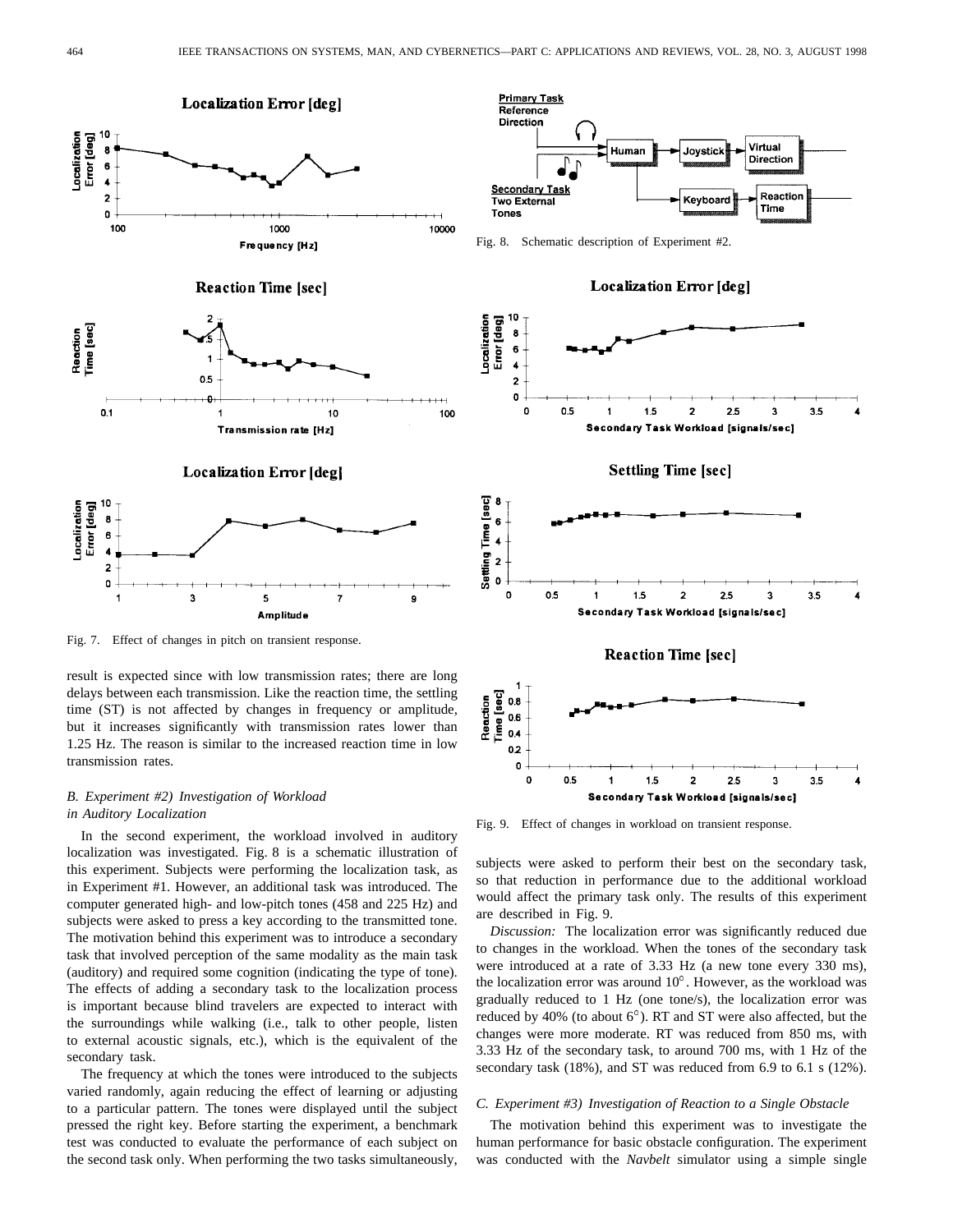

Fig. 7. Effect of changes in pitch on transient response.

result is expected since with low transmission rates; there are long delays between each transmission. Like the reaction time, the settling time (ST) is not affected by changes in frequency or amplitude, but it increases significantly with transmission rates lower than 1.25 Hz. The reason is similar to the increased reaction time in low transmission rates.

## *B. Experiment #2) Investigation of Workload in Auditory Localization*

In the second experiment, the workload involved in auditory localization was investigated. Fig. 8 is a schematic illustration of this experiment. Subjects were performing the localization task, as in Experiment #1. However, an additional task was introduced. The computer generated high- and low-pitch tones (458 and 225 Hz) and subjects were asked to press a key according to the transmitted tone. The motivation behind this experiment was to introduce a secondary task that involved perception of the same modality as the main task (auditory) and required some cognition (indicating the type of tone). The effects of adding a secondary task to the localization process is important because blind travelers are expected to interact with the surroundings while walking (i.e., talk to other people, listen to external acoustic signals, etc.), which is the equivalent of the secondary task.

The frequency at which the tones were introduced to the subjects varied randomly, again reducing the effect of learning or adjusting to a particular pattern. The tones were displayed until the subject pressed the right key. Before starting the experiment, a benchmark test was conducted to evaluate the performance of each subject on the second task only. When performing the two tasks simultaneously,



Fig. 8. Schematic description of Experiment #2.



Fig. 9. Effect of changes in workload on transient response.

subjects were asked to perform their best on the secondary task, so that reduction in performance due to the additional workload would affect the primary task only. The results of this experiment are described in Fig. 9.

*Discussion:* The localization error was significantly reduced due to changes in the workload. When the tones of the secondary task were introduced at a rate of 3.33 Hz (a new tone every 330 ms), the localization error was around  $10^{\circ}$ . However, as the workload was gradually reduced to 1 Hz (one tone/s), the localization error was reduced by 40% (to about  $6^{\circ}$ ). RT and ST were also affected, but the changes were more moderate. RT was reduced from 850 ms, with 3.33 Hz of the secondary task, to around 700 ms, with 1 Hz of the secondary task (18%), and ST was reduced from 6.9 to 6.1 s (12%).

## *C. Experiment #3) Investigation of Reaction to a Single Obstacle*

The motivation behind this experiment was to investigate the human performance for basic obstacle configuration. The experiment was conducted with the *Navbelt* simulator using a simple single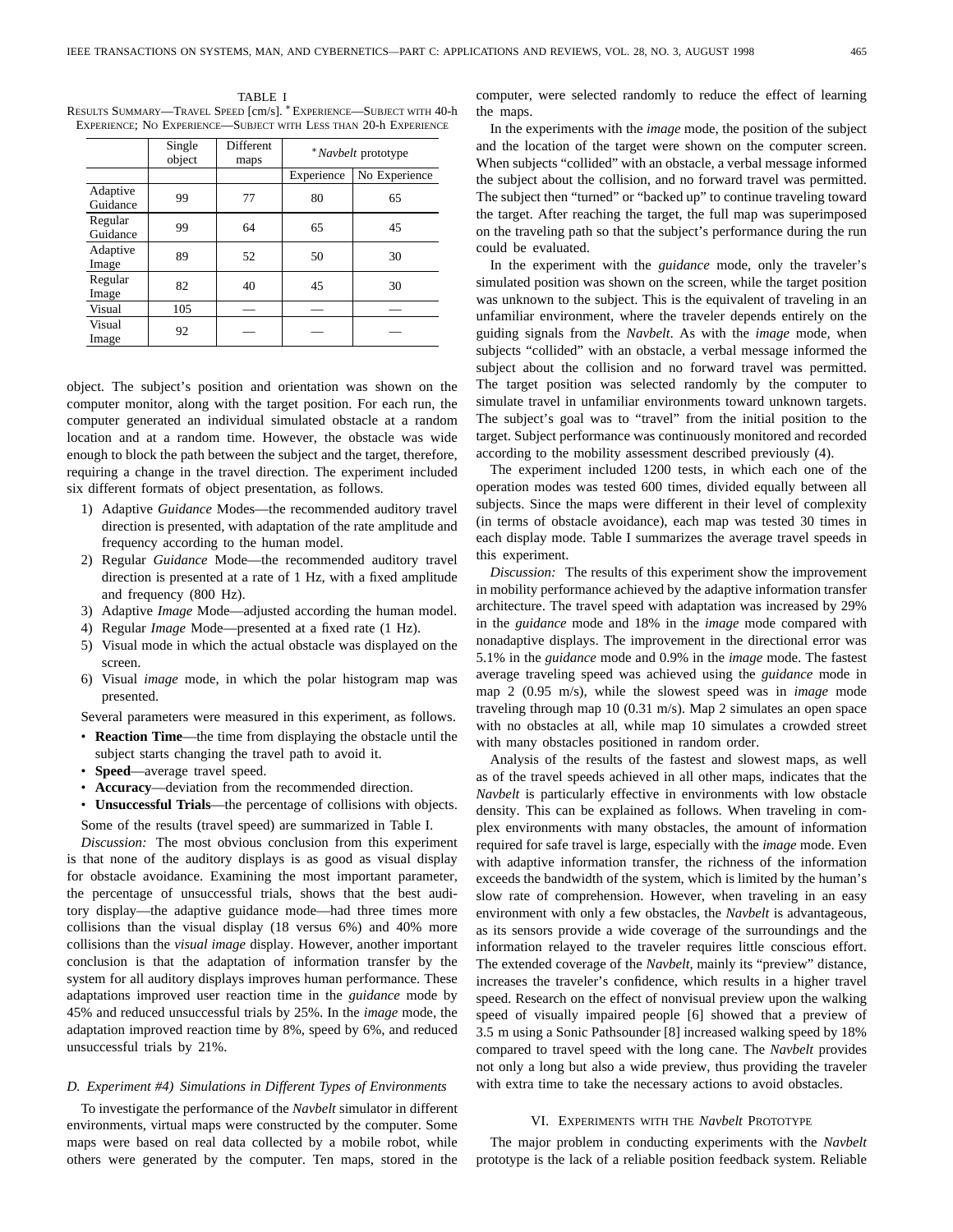TABLE I RESULTS SUMMARY-TRAVEL SPEED [cm/s]. \* EXPERIENCE-SUBJECT WITH 40-h EXPERIENCE; NO EXPERIENCE—SUBJECT WITH LESS THAN 20-h EXPERIENCE

|                      | Single<br>object | Different<br>maps | * <i>Navbelt</i> prototype |               |  |
|----------------------|------------------|-------------------|----------------------------|---------------|--|
|                      |                  |                   | Experience                 | No Experience |  |
| Adaptive<br>Guidance | 99               | 77                | 80                         | 65            |  |
| Regular<br>Guidance  | 99               | 64                | 65                         | 45            |  |
| Adaptive<br>Image    | 89               | 52                | 50                         | 30            |  |
| Regular<br>Image     | 82               | 40                | 45                         | 30            |  |
| Visual               | 105              |                   |                            |               |  |
| Visual<br>Image      | 92               |                   |                            |               |  |

object. The subject's position and orientation was shown on the computer monitor, along with the target position. For each run, the computer generated an individual simulated obstacle at a random location and at a random time. However, the obstacle was wide enough to block the path between the subject and the target, therefore, requiring a change in the travel direction. The experiment included six different formats of object presentation, as follows.

- 1) Adaptive *Guidance* Modes—the recommended auditory travel direction is presented, with adaptation of the rate amplitude and frequency according to the human model.
- 2) Regular *Guidance* Mode—the recommended auditory travel direction is presented at a rate of 1 Hz, with a fixed amplitude and frequency (800 Hz).
- 3) Adaptive *Image* Mode—adjusted according the human model.
- 4) Regular *Image* Mode—presented at a fixed rate (1 Hz).
- 5) Visual mode in which the actual obstacle was displayed on the screen.
- 6) Visual *image* mode, in which the polar histogram map was presented.

Several parameters were measured in this experiment, as follows.

- **Reaction Time—the time from displaying the obstacle until the** subject starts changing the travel path to avoid it.
- **Speed**—average travel speed.
- Accuracy—deviation from the recommended direction.
- **Unsuccessful Trials**—the percentage of collisions with objects. Some of the results (travel speed) are summarized in Table I.

*Discussion:* The most obvious conclusion from this experiment is that none of the auditory displays is as good as visual display for obstacle avoidance. Examining the most important parameter, the percentage of unsuccessful trials, shows that the best auditory display—the adaptive guidance mode—had three times more collisions than the visual display (18 versus 6%) and 40% more collisions than the *visual image* display. However, another important conclusion is that the adaptation of information transfer by the system for all auditory displays improves human performance. These adaptations improved user reaction time in the *guidance* mode by 45% and reduced unsuccessful trials by 25%. In the *image* mode, the adaptation improved reaction time by 8%, speed by 6%, and reduced unsuccessful trials by 21%.

## *D. Experiment #4) Simulations in Different Types of Environments*

To investigate the performance of the *Navbelt* simulator in different environments, virtual maps were constructed by the computer. Some maps were based on real data collected by a mobile robot, while others were generated by the computer. Ten maps, stored in the

computer, were selected randomly to reduce the effect of learning the maps.

In the experiments with the *image* mode, the position of the subject and the location of the target were shown on the computer screen. When subjects "collided" with an obstacle, a verbal message informed the subject about the collision, and no forward travel was permitted. The subject then "turned" or "backed up" to continue traveling toward the target. After reaching the target, the full map was superimposed on the traveling path so that the subject's performance during the run could be evaluated.

In the experiment with the *guidance* mode, only the traveler's simulated position was shown on the screen, while the target position was unknown to the subject. This is the equivalent of traveling in an unfamiliar environment, where the traveler depends entirely on the guiding signals from the *Navbelt*. As with the *image* mode, when subjects "collided" with an obstacle, a verbal message informed the subject about the collision and no forward travel was permitted. The target position was selected randomly by the computer to simulate travel in unfamiliar environments toward unknown targets. The subject's goal was to "travel" from the initial position to the target. Subject performance was continuously monitored and recorded according to the mobility assessment described previously (4).

The experiment included 1200 tests, in which each one of the operation modes was tested 600 times, divided equally between all subjects. Since the maps were different in their level of complexity (in terms of obstacle avoidance), each map was tested 30 times in each display mode. Table I summarizes the average travel speeds in this experiment.

*Discussion:* The results of this experiment show the improvement in mobility performance achieved by the adaptive information transfer architecture. The travel speed with adaptation was increased by 29% in the *guidance* mode and 18% in the *image* mode compared with nonadaptive displays. The improvement in the directional error was 5.1% in the *guidance* mode and 0.9% in the *image* mode. The fastest average traveling speed was achieved using the *guidance* mode in map 2 (0.95 m/s), while the slowest speed was in *image* mode traveling through map 10 (0.31 m/s). Map 2 simulates an open space with no obstacles at all, while map 10 simulates a crowded street with many obstacles positioned in random order.

Analysis of the results of the fastest and slowest maps, as well as of the travel speeds achieved in all other maps, indicates that the *Navbelt* is particularly effective in environments with low obstacle density. This can be explained as follows. When traveling in complex environments with many obstacles, the amount of information required for safe travel is large, especially with the *image* mode. Even with adaptive information transfer, the richness of the information exceeds the bandwidth of the system, which is limited by the human's slow rate of comprehension. However, when traveling in an easy environment with only a few obstacles, the *Navbelt* is advantageous, as its sensors provide a wide coverage of the surroundings and the information relayed to the traveler requires little conscious effort. The extended coverage of the *Navbelt*, mainly its "preview" distance, increases the traveler's confidence, which results in a higher travel speed. Research on the effect of nonvisual preview upon the walking speed of visually impaired people [6] showed that a preview of 3.5 m using a Sonic Pathsounder [8] increased walking speed by 18% compared to travel speed with the long cane. The *Navbelt* provides not only a long but also a wide preview, thus providing the traveler with extra time to take the necessary actions to avoid obstacles.

#### VI. EXPERIMENTS WITH THE *Navbelt* PROTOTYPE

The major problem in conducting experiments with the *Navbelt* prototype is the lack of a reliable position feedback system. Reliable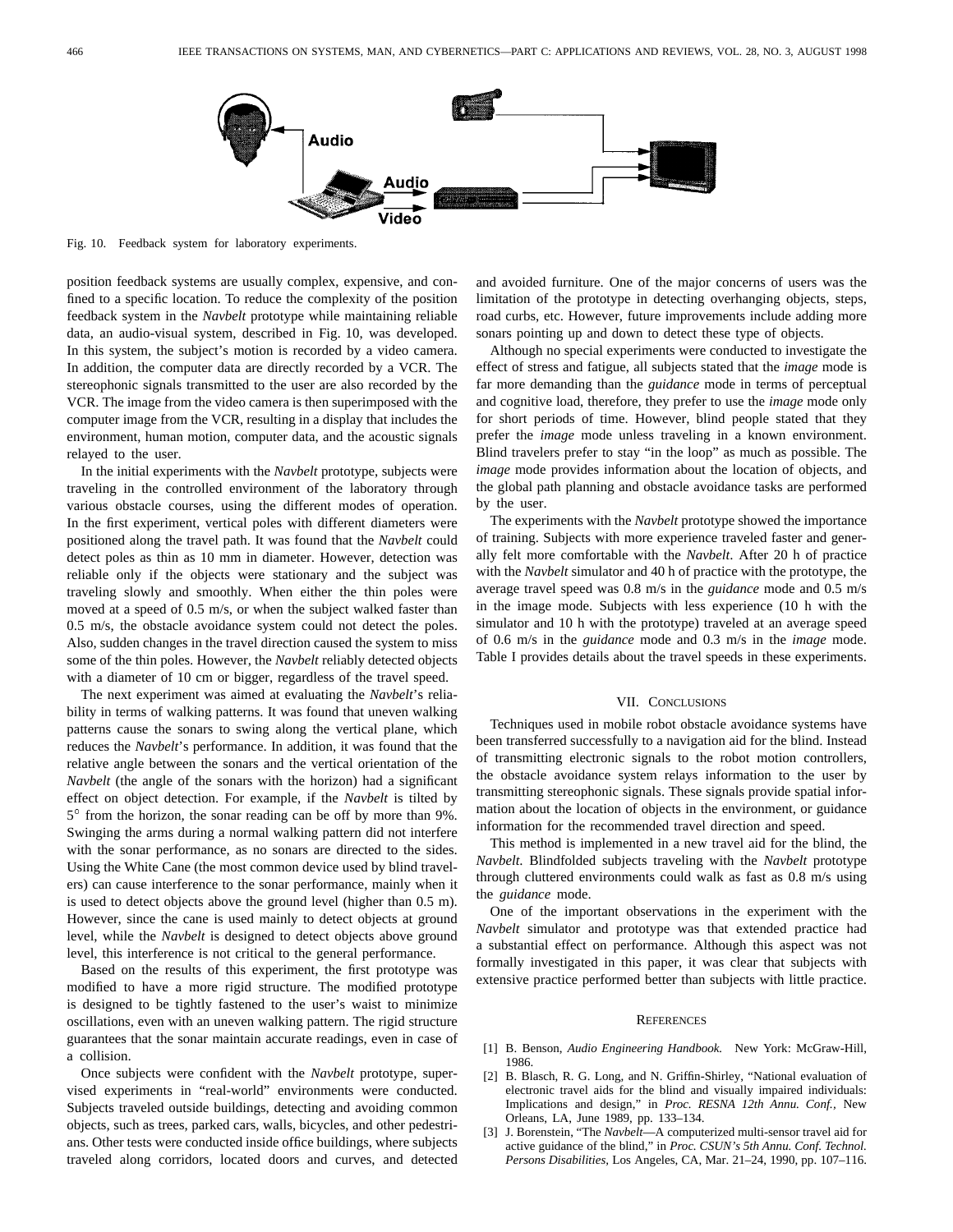

Fig. 10. Feedback system for laboratory experiments.

position feedback systems are usually complex, expensive, and confined to a specific location. To reduce the complexity of the position feedback system in the *Navbelt* prototype while maintaining reliable data, an audio-visual system, described in Fig. 10, was developed. In this system, the subject's motion is recorded by a video camera. In addition, the computer data are directly recorded by a VCR. The stereophonic signals transmitted to the user are also recorded by the VCR. The image from the video camera is then superimposed with the computer image from the VCR, resulting in a display that includes the environment, human motion, computer data, and the acoustic signals relayed to the user.

In the initial experiments with the *Navbelt* prototype, subjects were traveling in the controlled environment of the laboratory through various obstacle courses, using the different modes of operation. In the first experiment, vertical poles with different diameters were positioned along the travel path. It was found that the *Navbelt* could detect poles as thin as 10 mm in diameter. However, detection was reliable only if the objects were stationary and the subject was traveling slowly and smoothly. When either the thin poles were moved at a speed of 0.5 m/s, or when the subject walked faster than 0.5 m/s, the obstacle avoidance system could not detect the poles. Also, sudden changes in the travel direction caused the system to miss some of the thin poles. However, the *Navbelt* reliably detected objects with a diameter of 10 cm or bigger, regardless of the travel speed.

The next experiment was aimed at evaluating the *Navbelt*'s reliability in terms of walking patterns. It was found that uneven walking patterns cause the sonars to swing along the vertical plane, which reduces the *Navbelt*'s performance. In addition, it was found that the relative angle between the sonars and the vertical orientation of the *Navbelt* (the angle of the sonars with the horizon) had a significant effect on object detection. For example, if the *Navbelt* is tilted by  $5^\circ$  from the horizon, the sonar reading can be off by more than 9%. Swinging the arms during a normal walking pattern did not interfere with the sonar performance, as no sonars are directed to the sides. Using the White Cane (the most common device used by blind travelers) can cause interference to the sonar performance, mainly when it is used to detect objects above the ground level (higher than 0.5 m). However, since the cane is used mainly to detect objects at ground level, while the *Navbelt* is designed to detect objects above ground level, this interference is not critical to the general performance.

Based on the results of this experiment, the first prototype was modified to have a more rigid structure. The modified prototype is designed to be tightly fastened to the user's waist to minimize oscillations, even with an uneven walking pattern. The rigid structure guarantees that the sonar maintain accurate readings, even in case of a collision.

Once subjects were confident with the *Navbelt* prototype, supervised experiments in "real-world" environments were conducted. Subjects traveled outside buildings, detecting and avoiding common objects, such as trees, parked cars, walls, bicycles, and other pedestrians. Other tests were conducted inside office buildings, where subjects traveled along corridors, located doors and curves, and detected

and avoided furniture. One of the major concerns of users was the limitation of the prototype in detecting overhanging objects, steps, road curbs, etc. However, future improvements include adding more sonars pointing up and down to detect these type of objects.

Although no special experiments were conducted to investigate the effect of stress and fatigue, all subjects stated that the *image* mode is far more demanding than the *guidance* mode in terms of perceptual and cognitive load, therefore, they prefer to use the *image* mode only for short periods of time. However, blind people stated that they prefer the *image* mode unless traveling in a known environment. Blind travelers prefer to stay "in the loop" as much as possible. The *image* mode provides information about the location of objects, and the global path planning and obstacle avoidance tasks are performed by the user.

The experiments with the *Navbelt* prototype showed the importance of training. Subjects with more experience traveled faster and generally felt more comfortable with the *Navbelt*. After 20 h of practice with the *Navbelt* simulator and 40 h of practice with the prototype, the average travel speed was 0.8 m/s in the *guidance* mode and 0.5 m/s in the image mode. Subjects with less experience (10 h with the simulator and 10 h with the prototype) traveled at an average speed of 0.6 m/s in the *guidance* mode and 0.3 m/s in the *image* mode. Table I provides details about the travel speeds in these experiments.

### VII. CONCLUSIONS

Techniques used in mobile robot obstacle avoidance systems have been transferred successfully to a navigation aid for the blind. Instead of transmitting electronic signals to the robot motion controllers, the obstacle avoidance system relays information to the user by transmitting stereophonic signals. These signals provide spatial information about the location of objects in the environment, or guidance information for the recommended travel direction and speed.

This method is implemented in a new travel aid for the blind, the *Navbelt*. Blindfolded subjects traveling with the *Navbelt* prototype through cluttered environments could walk as fast as 0.8 m/s using the *guidance* mode.

One of the important observations in the experiment with the *Navbelt* simulator and prototype was that extended practice had a substantial effect on performance. Although this aspect was not formally investigated in this paper, it was clear that subjects with extensive practice performed better than subjects with little practice.

#### **REFERENCES**

- [1] B. Benson, *Audio Engineering Handbook.* New York: McGraw-Hill, 1986.
- [2] B. Blasch, R. G. Long, and N. Griffin-Shirley, "National evaluation of electronic travel aids for the blind and visually impaired individuals: Implications and design," in *Proc. RESNA 12th Annu. Conf.,* New Orleans, LA, June 1989, pp. 133–134.
- [3] J. Borenstein, "The *Navbelt*—A computerized multi-sensor travel aid for active guidance of the blind," in *Proc. CSUN's 5th Annu. Conf. Technol. Persons Disabilities,* Los Angeles, CA, Mar. 21–24, 1990, pp. 107–116.